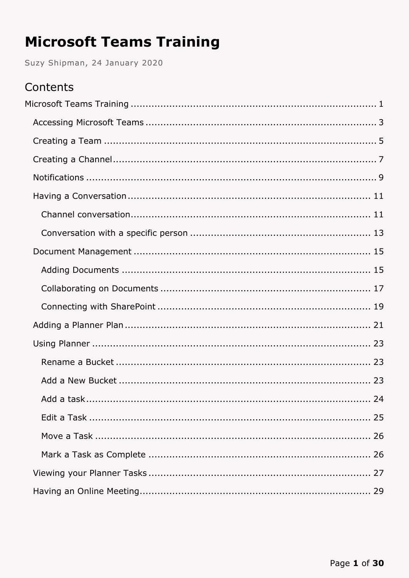# <span id="page-0-0"></span>**Microsoft Teams Training**

Suzy Shipman, 24 January 2020

### Contents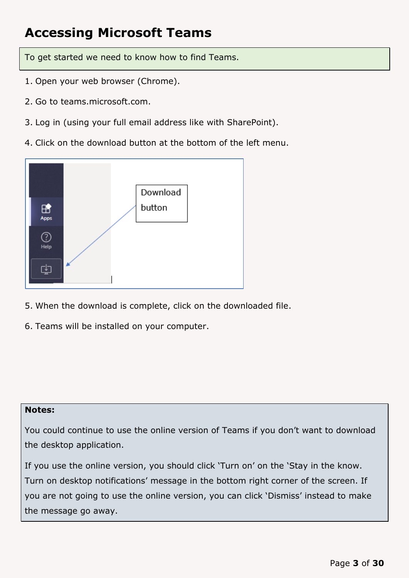## <span id="page-2-0"></span>**Accessing Microsoft Teams**

To get started we need to know how to find Teams.

- 1. Open your web browser (Chrome).
- 2. Go to teams.microsoft.com.
- 3. Log in (using your full email address like with SharePoint).
- 4. Click on the download button at the bottom of the left menu.



- 5. When the download is complete, click on the downloaded file.
- 6. Teams will be installed on your computer.

#### **Notes:**

You could continue to use the online version of Teams if you don't want to download the desktop application.

If you use the online version, you should click 'Turn on' on the 'Stay in the know. Turn on desktop notifications' message in the bottom right corner of the screen. If you are not going to use the online version, you can click 'Dismiss' instead to make the message go away.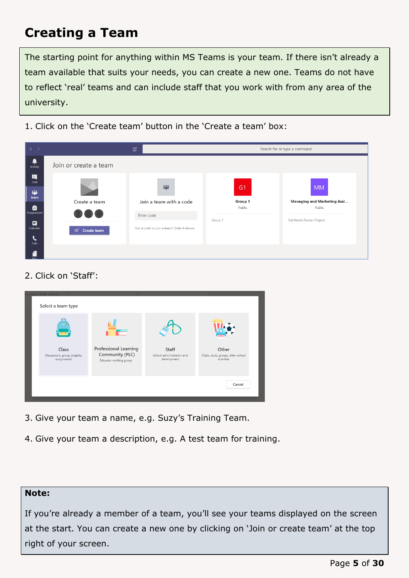## <span id="page-4-0"></span>**Creating a Team**

The starting point for anything within MS Teams is your team. If there isn't already a team available that suits your needs, you can create a new one. Teams do not have to reflect 'real' teams and can include staff that you work with from any area of the university.

1. Click on the 'Create team' button in the 'Create a team' box:

| $\langle \quad \rangle$              |                                          | $\mathcal{C}$                              |                   | Search for or type a command          |
|--------------------------------------|------------------------------------------|--------------------------------------------|-------------------|---------------------------------------|
| ۹<br>Activity                        | Join or create a team                    |                                            |                   |                                       |
| $\blacksquare$<br>Chat<br>W.         |                                          | <b>WE</b>                                  | G <sub>1</sub>    | <b>MM</b>                             |
| Teams<br>â<br><b>Assignments</b>     | Create a team<br>$\bullet\bullet\bullet$ | Join a team with a code<br>Enter code      | Group 1<br>Public | Managing and Marketing Assi<br>Public |
| €<br>Calendar<br>$\epsilon$<br>Calls | <sup>26+</sup> Create team               | Got a code to join a team? Enter it above. | Group 1           | 3rd World Farmer Project              |
| 4<br>Files                           |                                          |                                            |                   |                                       |

2. Click on 'Staff':

| in a team? Enter it above.<br>Select a team type     |                                                                           |                                                   |                                                          |
|------------------------------------------------------|---------------------------------------------------------------------------|---------------------------------------------------|----------------------------------------------------------|
| $\rightarrow$                                        | -                                                                         |                                                   |                                                          |
| Class<br>Discussions, group projects,<br>assignments | <b>Professional Learning</b><br>Community (PLC)<br>Educator working group | Staff<br>School administration and<br>development | Other<br>Clubs, study groups, after-school<br>activities |
|                                                      |                                                                           |                                                   | Cancel                                                   |

- 3. Give your team a name, e.g. Suzy's Training Team.
- 4. Give your team a description, e.g. A test team for training.

#### **Note:**

If you're already a member of a team, you'll see your teams displayed on the screen at the start. You can create a new one by clicking on 'Join or create team' at the top right of your screen.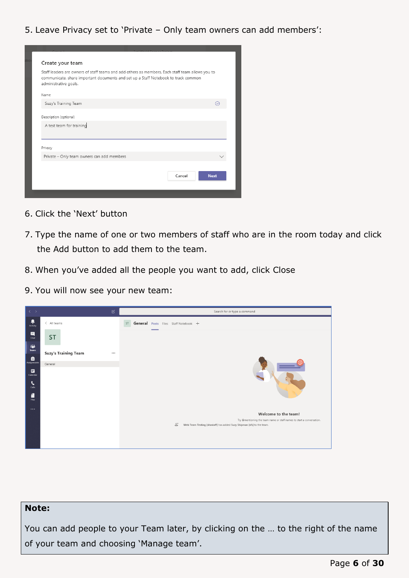5. Leave Privacy set to 'Private – Only team owners can add members':

| Create your team                                                                                                                                                                                                |                       |
|-----------------------------------------------------------------------------------------------------------------------------------------------------------------------------------------------------------------|-----------------------|
| Staff leaders are owners of staff teams and add others as members. Each staff team allows you to<br>communicate, share important documents and set up a Staff Notebook to track common<br>administrative goals. |                       |
| Name                                                                                                                                                                                                            |                       |
| Suzy's Training Team                                                                                                                                                                                            |                       |
| Description (optional)                                                                                                                                                                                          |                       |
| A test team for training                                                                                                                                                                                        |                       |
| Privacy                                                                                                                                                                                                         |                       |
| Private - Only team owners can add members                                                                                                                                                                      |                       |
|                                                                                                                                                                                                                 |                       |
|                                                                                                                                                                                                                 | Cancel<br><b>Next</b> |

- 6. Click the 'Next' button
- 7. Type the name of one or two members of staff who are in the room today and click the Add button to add them to the team.
- 8. When you've added all the people you want to add, click Close
- 9. You will now see your new team:



#### **Note:**

You can add people to your Team later, by clicking on the … to the right of the name of your team and choosing 'Manage team'.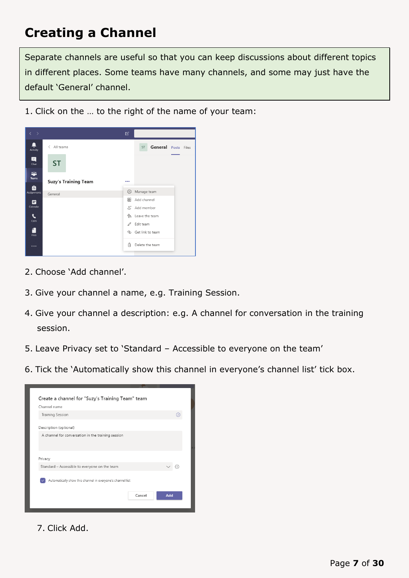## <span id="page-6-0"></span>**Creating a Channel**

Separate channels are useful so that you can keep discussions about different topics in different places. Some teams have many channels, and some may just have the default 'General' channel.

1. Click on the … to the right of the name of your team:



- 2. Choose 'Add channel'.
- 3. Give your channel a name, e.g. Training Session.
- 4. Give your channel a description: e.g. A channel for conversation in the training session.
- 5. Leave Privacy set to 'Standard Accessible to everyone on the team'
- 6. Tick the 'Automatically show this channel in everyone's channel list' tick box.



7. Click Add.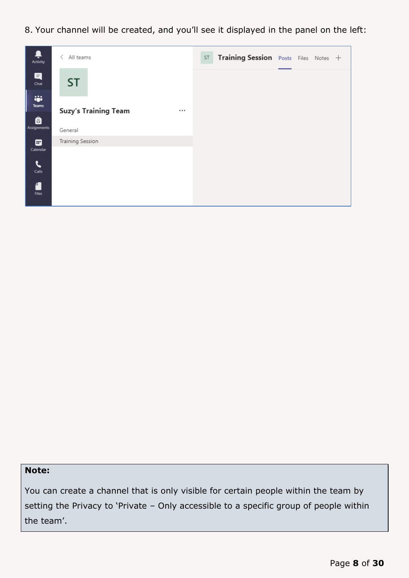8. Your channel will be created, and you'll see it displayed in the panel on the left:

| .,<br>Activity                                   | All teams<br>く                          | ST | Training Session Posts Files Notes + |
|--------------------------------------------------|-----------------------------------------|----|--------------------------------------|
| 日<br>Chat                                        | <b>ST</b>                               |    |                                      |
| ij.<br><b>Teams</b><br>â                         | <b>Suzy's Training Team</b><br>$\cdots$ |    |                                      |
| Assignments                                      | General                                 |    |                                      |
| ₩<br>Calendar<br>S<br>Calls<br>4<br><b>Files</b> | Training Session                        |    |                                      |

#### **Note:**

You can create a channel that is only visible for certain people within the team by setting the Privacy to 'Private – Only accessible to a specific group of people within the team'.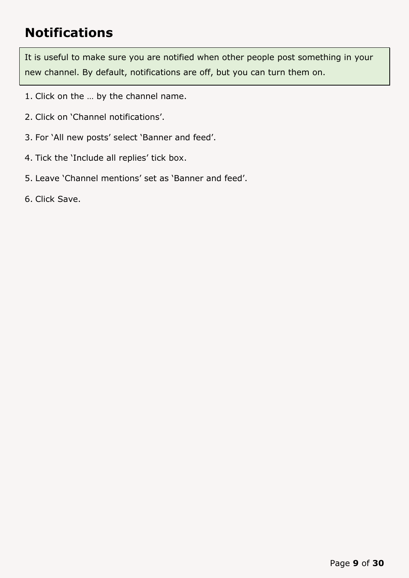# <span id="page-8-0"></span>**Notifications**

It is useful to make sure you are notified when other people post something in your new channel. By default, notifications are off, but you can turn them on.

- 1. Click on the … by the channel name.
- 2. Click on 'Channel notifications'.
- 3. For 'All new posts' select 'Banner and feed'.
- 4. Tick the 'Include all replies' tick box.
- 5. Leave 'Channel mentions' set as 'Banner and feed'.

6. Click Save.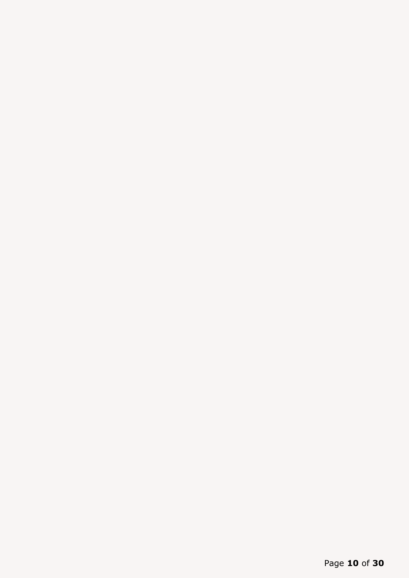Page **10** of **30**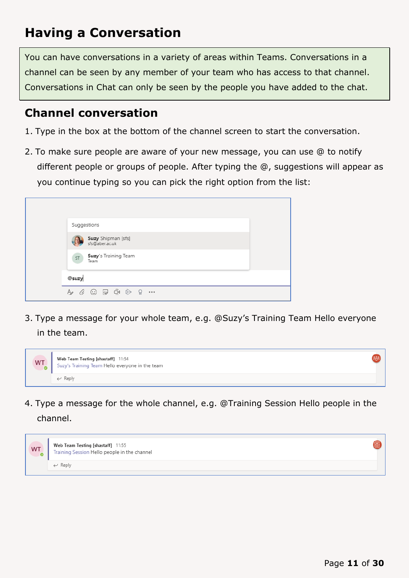# <span id="page-10-0"></span>**Having a Conversation**

You can have conversations in a variety of areas within Teams. Conversations in a channel can be seen by any member of your team who has access to that channel. Conversations in Chat can only be seen by the people you have added to the chat.

### <span id="page-10-1"></span>**Channel conversation**

- 1. Type in the box at the bottom of the channel screen to start the conversation.
- 2. To make sure people are aware of your new message, you can use @ to notify different people or groups of people. After typing the @, suggestions will appear as you continue typing so you can pick the right option from the list:

| Suggestions                                                                                           |
|-------------------------------------------------------------------------------------------------------|
| Suzy Shipman [sfs]<br>sfs@aber.ac.uk                                                                  |
| Suzy's Training Team<br>ST<br>Team                                                                    |
| @suzy                                                                                                 |
| $\begin{array}{ccc} \oslash & \odot & \odot & \oslash & \oslash & \oslash & \cdots \end{array}$<br>Aø |

3. Type a message for your whole team, e.g. @Suzy's Training Team Hello everyone in the team.

| <b>WT</b> | Web Team Testing [shastaff] 11:54<br>Suzy's Training Team Hello everyone in the team |  |
|-----------|--------------------------------------------------------------------------------------|--|
|           | $\leftrightarrow$ Reply                                                              |  |

4. Type a message for the whole channel, e.g. @Training Session Hello people in the channel.

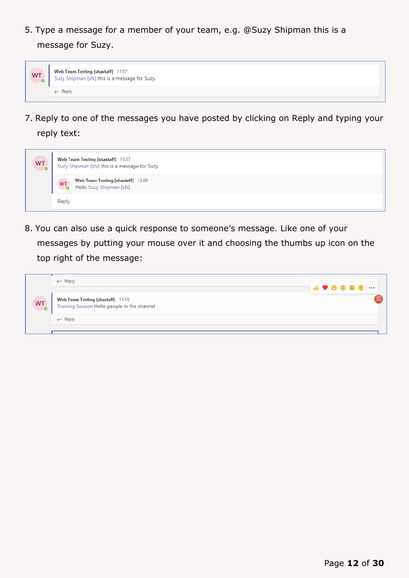5. Type a message for a member of your team, e.g. @Suzy Shipman this is a message for Suzy.



7. Reply to one of the messages you have posted by clicking on Reply and typing your reply text:



8. You can also use a quick response to someone's message. Like one of your messages by putting your mouse over it and choosing the thumbs up icon on the top right of the message:

|                 | $\leftarrow$ Reply                                                                |  |  | 50000H |  |
|-----------------|-----------------------------------------------------------------------------------|--|--|--------|--|
| WT <sub>o</sub> | Web Team Testing [shastaff] 11:55<br>Training Session Hello people in the channel |  |  |        |  |
|                 | $\leftarrow$ Reply                                                                |  |  |        |  |
|                 |                                                                                   |  |  |        |  |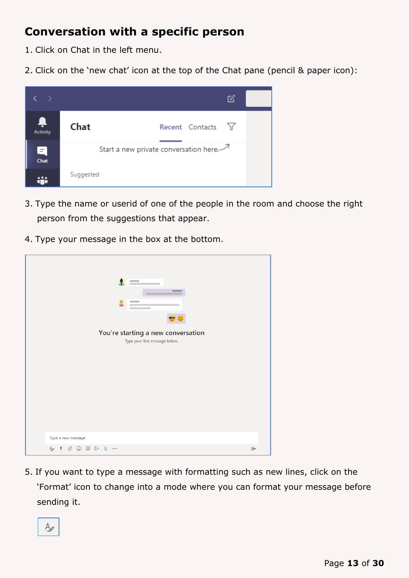### <span id="page-12-0"></span>**Conversation with a specific person**

- 1. Click on Chat in the left menu.
- 2. Click on the 'new chat' icon at the top of the Chat pane (pencil & paper icon):



- 3. Type the name or userid of one of the people in the room and choose the right person from the suggestions that appear.
- 4. Type your message in the box at the bottom.



5. If you want to type a message with formatting such as new lines, click on the 'Format' icon to change into a mode where you can format your message before sending it.

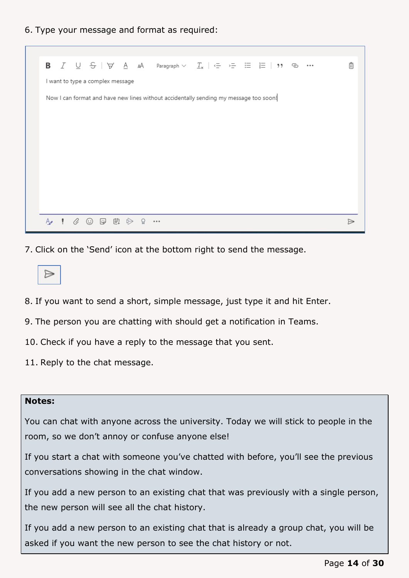6. Type your message and format as required:



7. Click on the 'Send' icon at the bottom right to send the message.



- 8. If you want to send a short, simple message, just type it and hit Enter.
- 9. The person you are chatting with should get a notification in Teams.
- 10. Check if you have a reply to the message that you sent.
- 11. Reply to the chat message.

#### **Notes:**

You can chat with anyone across the university. Today we will stick to people in the room, so we don't annoy or confuse anyone else!

If you start a chat with someone you've chatted with before, you'll see the previous conversations showing in the chat window.

If you add a new person to an existing chat that was previously with a single person, the new person will see all the chat history.

If you add a new person to an existing chat that is already a group chat, you will be asked if you want the new person to see the chat history or not.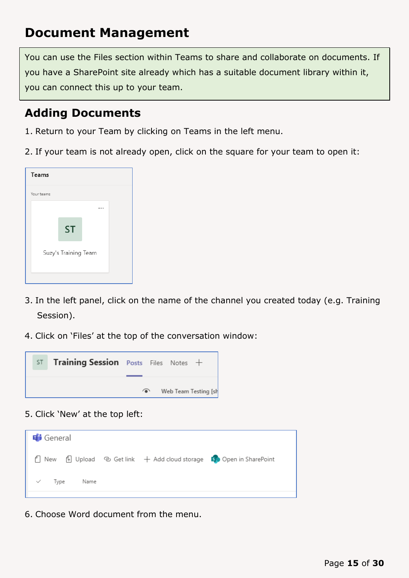## <span id="page-14-0"></span>**Document Management**

You can use the Files section within Teams to share and collaborate on documents. If you have a SharePoint site already which has a suitable document library within it, you can connect this up to your team.

#### <span id="page-14-1"></span>**Adding Documents**

- 1. Return to your Team by clicking on Teams in the left menu.
- 2. If your team is not already open, click on the square for your team to open it:



- 3. In the left panel, click on the name of the channel you created today (e.g. Training Session).
- 4. Click on 'Files' at the top of the conversation window:



5. Click 'New' at the top left:

| General                      |  |                                                                     |
|------------------------------|--|---------------------------------------------------------------------|
|                              |  | 1 New A Upload © Get link + Add cloud storage BO Open in SharePoint |
| $\checkmark$<br>Name<br>Type |  |                                                                     |

6. Choose Word document from the menu.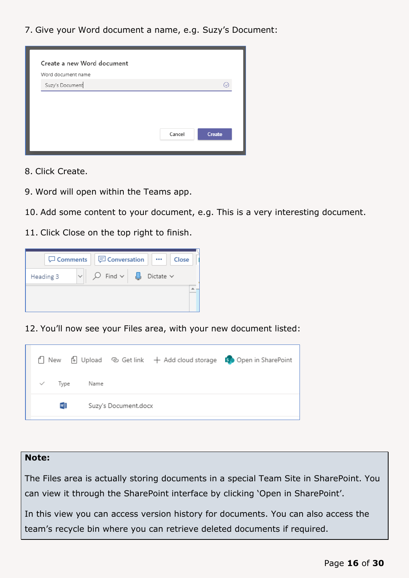7. Give your Word document a name, e.g. Suzy's Document:



- 8. Click Create.
- 9. Word will open within the Teams app.
- 10. Add some content to your document, e.g. This is a very interesting document.
- 11. Click Close on the top right to finish.



12. You'll now see your Files area, with your new document listed:



#### **Note:**

The Files area is actually storing documents in a special Team Site in SharePoint. You can view it through the SharePoint interface by clicking 'Open in SharePoint'.

In this view you can access version history for documents. You can also access the team's recycle bin where you can retrieve deleted documents if required.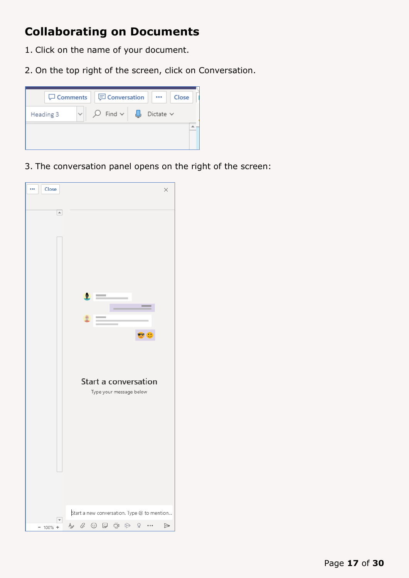### <span id="page-16-0"></span>**Collaborating on Documents**

- 1. Click on the name of your document.
- 2. On the top right of the screen, click on Conversation.

|                     | □ Comments   □ Conversation   …  <br>Close |
|---------------------|--------------------------------------------|
| $\vee$<br>Heading 3 | $\int$ Find $\vee$ U Dictate $\vee$        |
|                     |                                            |
|                     |                                            |

3. The conversation panel opens on the right of the screen:

| Close<br>                          |                                                                                                                 | $\times$      |
|------------------------------------|-----------------------------------------------------------------------------------------------------------------|---------------|
| $\blacktriangle$                   | 호<br>四七<br>Start a conversation<br>Type your message below                                                      |               |
| $\blacktriangledown$<br>$-100\% +$ | Start a new conversation. Type @ to mention<br>٢<br>ğ<br>$A$ $C$<br>$\odot$<br>$\triangleright$<br>$\Omega$<br> | $\Rightarrow$ |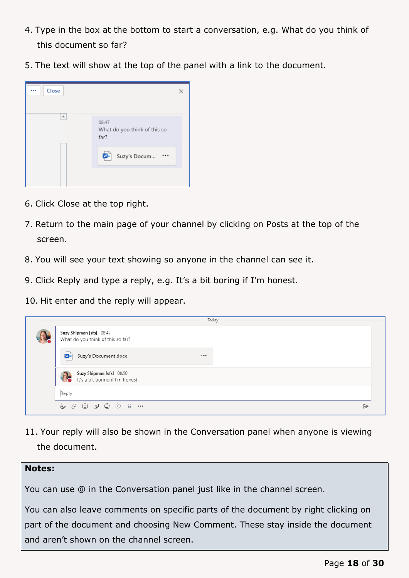- 4. Type in the box at the bottom to start a conversation, e.g. What do you think of this document so far?
- 5. The text will show at the top of the panel with a link to the document.



- 6. Click Close at the top right.
- 7. Return to the main page of your channel by clicking on Posts at the top of the screen.
- 8. You will see your text showing so anyone in the channel can see it.
- 9. Click Reply and type a reply, e.g. It's a bit boring if I'm honest.
- 10. Hit enter and the reply will appear.



11. Your reply will also be shown in the Conversation panel when anyone is viewing the document.

#### **Notes:**

You can use @ in the Conversation panel just like in the channel screen.

You can also leave comments on specific parts of the document by right clicking on part of the document and choosing New Comment. These stay inside the document and aren't shown on the channel screen.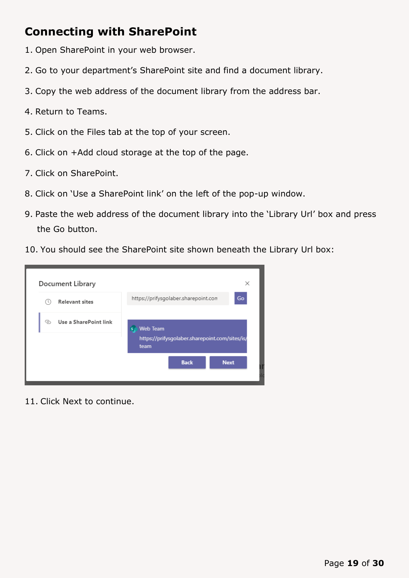### <span id="page-18-0"></span>**Connecting with SharePoint**

- 1. Open SharePoint in your web browser.
- 2. Go to your department's SharePoint site and find a document library.
- 3. Copy the web address of the document library from the address bar.
- 4. Return to Teams.
- 5. Click on the Files tab at the top of your screen.
- 6. Click on +Add cloud storage at the top of the page.
- 7. Click on SharePoint.
- 8. Click on 'Use a SharePoint link' on the left of the pop-up window.
- 9. Paste the web address of the document library into the 'Library Url' box and press the Go button.
- 10. You should see the SharePoint site shown beneath the Library Url box:



11. Click Next to continue.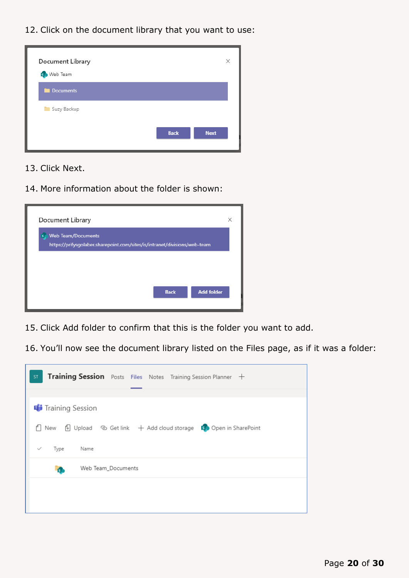12. Click on the document library that you want to use:



13. Click Next.

14. More information about the folder is shown:



15. Click Add folder to confirm that this is the folder you want to add.

16. You'll now see the document library listed on the Files page, as if it was a folder:

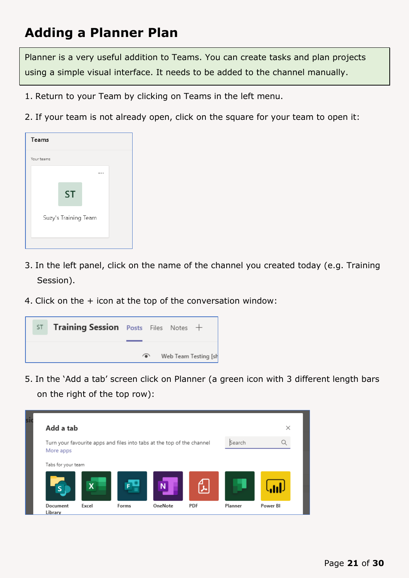## <span id="page-20-0"></span>**Adding a Planner Plan**

Planner is a very useful addition to Teams. You can create tasks and plan projects using a simple visual interface. It needs to be added to the channel manually.

- 1. Return to your Team by clicking on Teams in the left menu.
- 2. If your team is not already open, click on the square for your team to open it:



- 3. In the left panel, click on the name of the channel you created today (e.g. Training Session).
- 4. Click on the + icon at the top of the conversation window:



5. In the 'Add a tab' screen click on Planner (a green icon with 3 different length bars on the right of the top row):

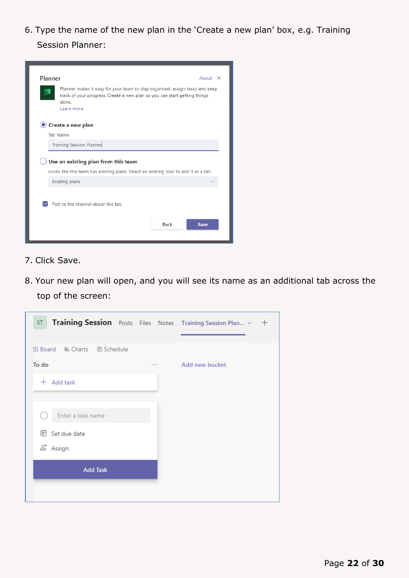6. Type the name of the new plan in the 'Create a new plan' box, e.g. Training Session Planner:



- 7. Click Save.
- 8. Your new plan will open, and you will see its name as an additional tab across the top of the screen:

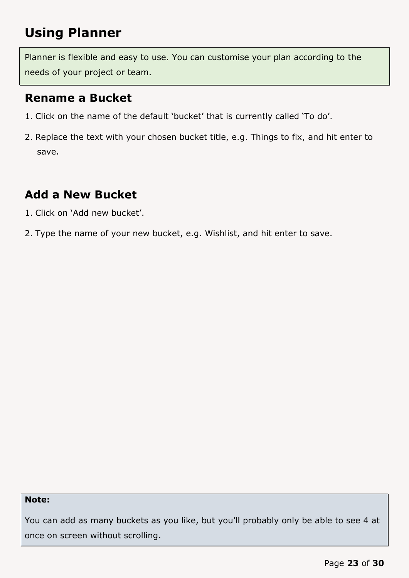# <span id="page-22-0"></span>**Using Planner**

Planner is flexible and easy to use. You can customise your plan according to the needs of your project or team.

### <span id="page-22-1"></span>**Rename a Bucket**

- 1. Click on the name of the default 'bucket' that is currently called 'To do'.
- 2. Replace the text with your chosen bucket title, e.g. Things to fix, and hit enter to save.

### <span id="page-22-2"></span>**Add a New Bucket**

- 1. Click on 'Add new bucket'.
- 2. Type the name of your new bucket, e.g. Wishlist, and hit enter to save.

#### **Note:**

You can add as many buckets as you like, but you'll probably only be able to see 4 at once on screen without scrolling.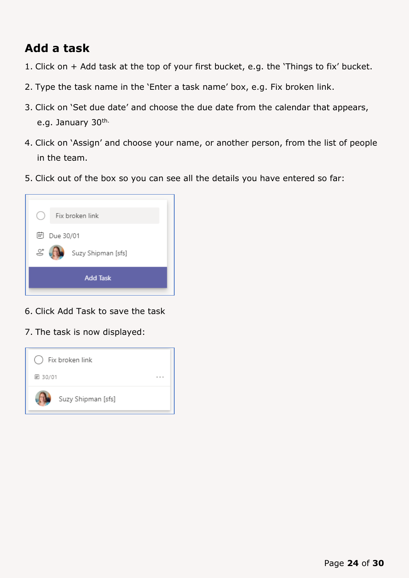## <span id="page-23-0"></span>**Add a task**

- 1. Click on + Add task at the top of your first bucket, e.g. the 'Things to fix' bucket.
- 2. Type the task name in the 'Enter a task name' box, e.g. Fix broken link.
- 3. Click on 'Set due date' and choose the due date from the calendar that appears, e.g. January 30th.
- 4. Click on 'Assign' and choose your name, or another person, from the list of people in the team.
- 5. Click out of the box so you can see all the details you have entered so far:



- 6. Click Add Task to save the task
- 7. The task is now displayed:

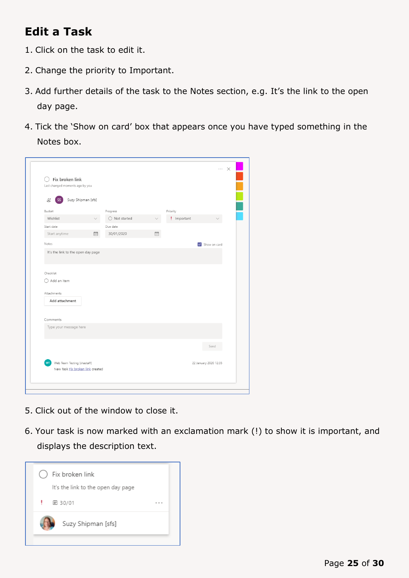### <span id="page-24-0"></span>**Edit a Task**

- 1. Click on the task to edit it.
- 2. Change the priority to Important.
- 3. Add further details of the task to the Notes section, e.g. It's the link to the open day page.
- 4. Tick the 'Show on card' box that appears once you have typed something in the Notes box.

| Last changed moments ago by you              |   |                        |   |             |              |
|----------------------------------------------|---|------------------------|---|-------------|--------------|
| Suzy Shipman [sfs]<br>$\mathfrak{L}^*$<br>SS |   |                        |   |             |              |
| Bucket                                       |   | Progress               |   | Priority    |              |
| Wishlist                                     |   | $\bigcirc$ Not started |   | ! Important |              |
| Start date                                   |   | Due date               |   |             |              |
| Start anytime                                | 扁 | 30/01/2020             | 閫 |             |              |
| Notes                                        |   |                        |   |             | Show on card |
| It's the link to the open day page           |   |                        |   |             |              |
|                                              |   |                        |   |             |              |
| Attachments<br>Add attachment                |   |                        |   |             |              |
|                                              |   |                        |   |             |              |
| Comments                                     |   |                        |   |             |              |
|                                              |   |                        |   |             |              |
| Type your message here                       |   |                        |   |             |              |
|                                              |   |                        |   |             | Send         |

- 5. Click out of the window to close it.
- 6. Your task is now marked with an exclamation mark (!) to show it is important, and displays the description text.

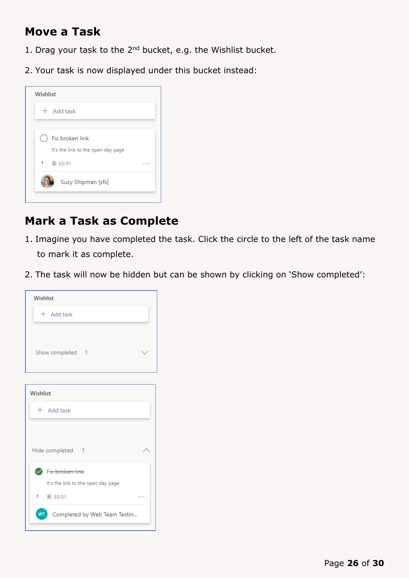### <span id="page-25-0"></span>**Move a Task**

- 1. Drag your task to the 2<sup>nd</sup> bucket, e.g. the Wishlist bucket.
- 2. Your task is now displayed under this bucket instead:



## <span id="page-25-1"></span>**Mark a Task as Complete**

- 1. Imagine you have completed the task. Click the circle to the left of the task name to mark it as complete.
- 2. The task will now be hidden but can be shown by clicking on 'Show completed':

| Wishlist                             |
|--------------------------------------|
| $+$ Add task                         |
| Show completed 1                     |
| Wishlist                             |
| $+$ Add task                         |
|                                      |
| Hide completed 1                     |
| $\sqrt{\phantom{a}}$ Fix broken link |
| It's the link to the open day page   |
| !   11 30/01                         |
| WI Completed by Web Team Testin      |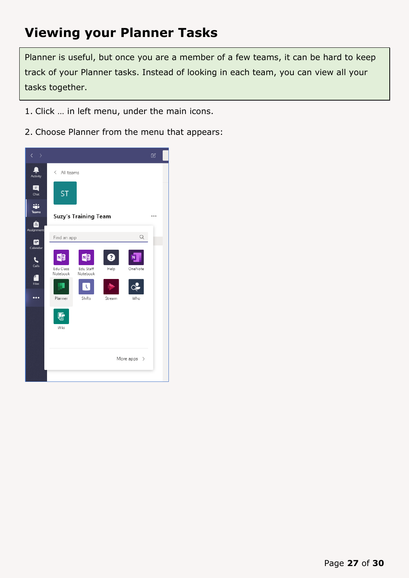# <span id="page-26-0"></span>**Viewing your Planner Tasks**

Planner is useful, but once you are a member of a few teams, it can be hard to keep track of your Planner tasks. Instead of looking in each team, you can view all your tasks together.

- 1. Click … in left menu, under the main icons.
- 2. Choose Planner from the menu that appears:

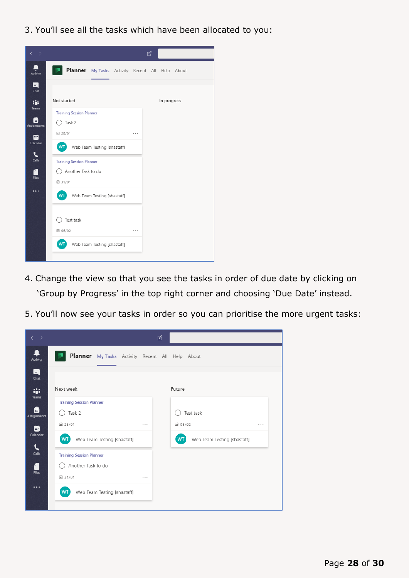3. You'll see all the tasks which have been allocated to you:

| くゝ                                                                                                                    | Ø                                                                                                                                                                                                                                                                                                          |
|-----------------------------------------------------------------------------------------------------------------------|------------------------------------------------------------------------------------------------------------------------------------------------------------------------------------------------------------------------------------------------------------------------------------------------------------|
| Activity                                                                                                              | Planner My Tasks Activity Recent All Help About                                                                                                                                                                                                                                                            |
| $\blacksquare$<br>Chat<br>ŵ<br><b>Teams</b><br>Â<br><b>Assignments</b><br>m<br>Calendar<br>Calls<br>Files<br>$\cdots$ | Not started<br>In progress<br><b>Training Session Planner</b><br>Task 2<br>回 28/01<br>$\cdots$<br><b>WT</b><br>Web Team Testing [shastaff]<br><b>Training Session Planner</b><br>Another Task to do<br>■ 31/01<br>$\cdots$<br>Web Team Testing [shastaff]<br><b>WT</b><br>Test task<br>回 06/02<br>$\cdots$ |
|                                                                                                                       | Web Team Testing [shastaff]<br><b>WT</b>                                                                                                                                                                                                                                                                   |

- 4. Change the view so that you see the tasks in order of due date by clicking on 'Group by Progress' in the top right corner and choosing 'Due Date' instead.
- 5. You'll now see your tasks in order so you can prioritise the more urgent tasks:

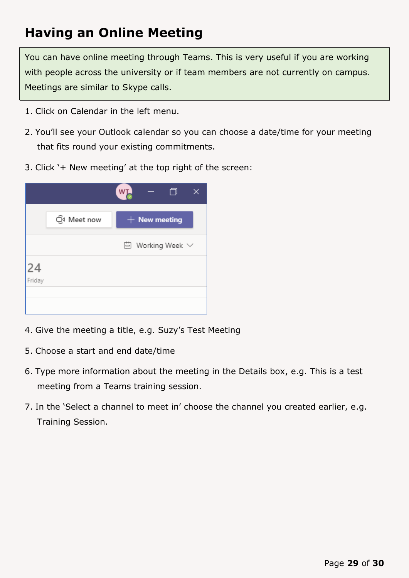# <span id="page-28-0"></span>**Having an Online Meeting**

You can have online meeting through Teams. This is very useful if you are working with people across the university or if team members are not currently on campus. Meetings are similar to Skype calls.

- 1. Click on Calendar in the left menu.
- 2. You'll see your Outlook calendar so you can choose a date/time for your meeting that fits round your existing commitments.
- 3. Click '+ New meeting' at the top right of the screen:

|                | <b>Q</b> Meet now | $+$ New meeting         |
|----------------|-------------------|-------------------------|
|                |                   | (Ö) Working Week $\vee$ |
| $24$<br>Friday |                   |                         |
|                |                   |                         |
|                |                   |                         |

- 4. Give the meeting a title, e.g. Suzy's Test Meeting
- 5. Choose a start and end date/time
- 6. Type more information about the meeting in the Details box, e.g. This is a test meeting from a Teams training session.
- 7. In the 'Select a channel to meet in' choose the channel you created earlier, e.g. Training Session.